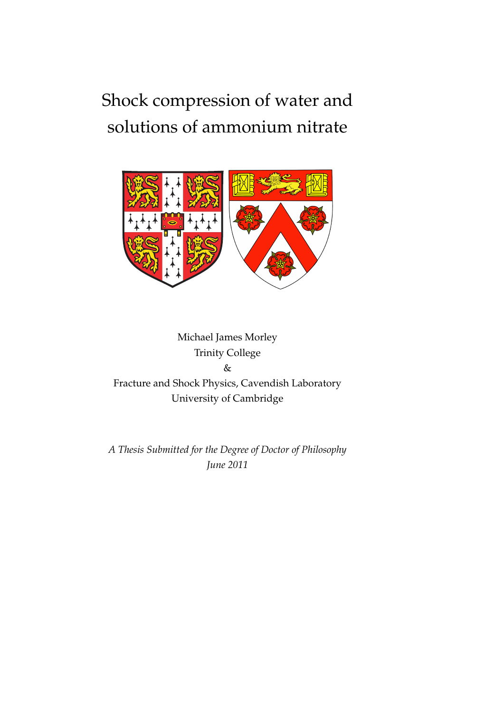## Shock compression of water and solutions of ammonium nitrate



Michael James Morley Trinity College & Fracture and Shock Physics, Cavendish Laboratory University of Cambridge

*A Thesis Submitted for the Degree of Doctor of Philosophy June 2011*